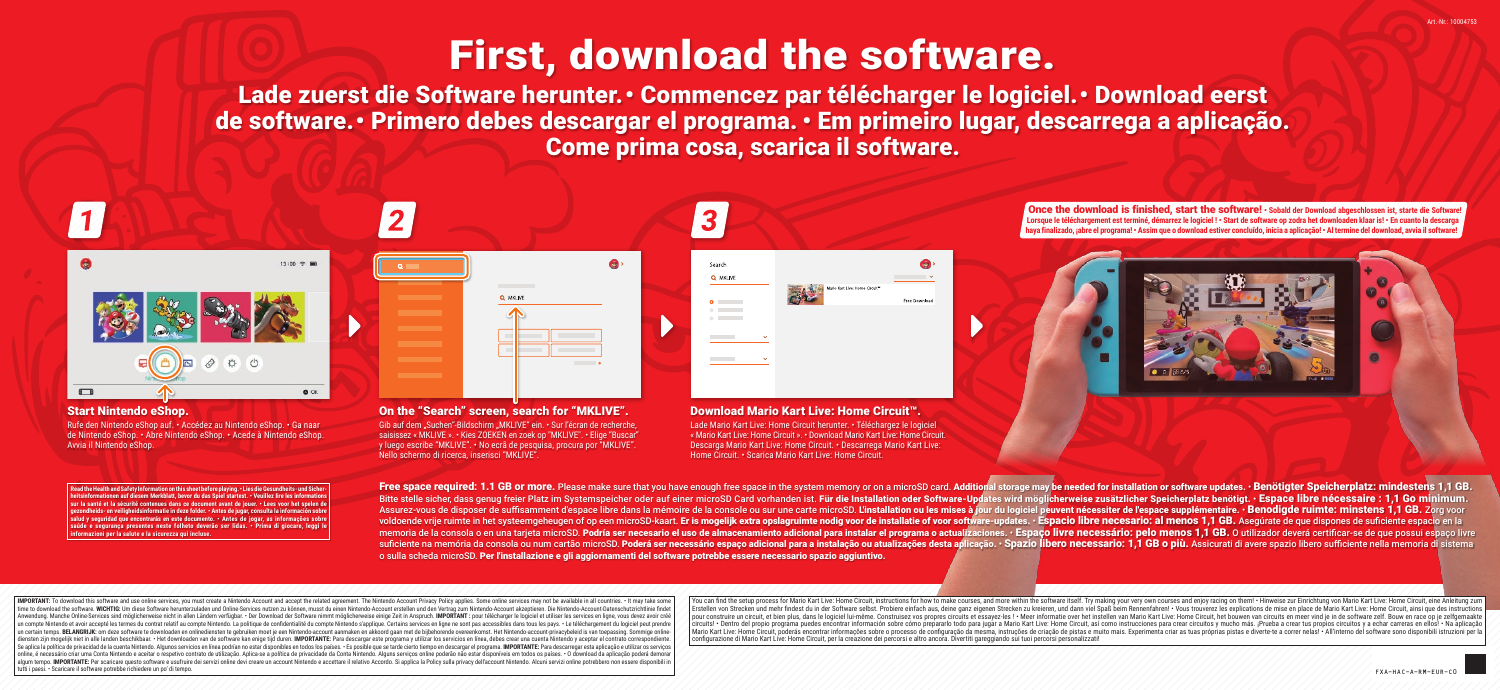# First, download the software.

Lade zuerst die Software herunter. • Commencez par télécharger le logiciel. • Download eerst de software. • Primero debes descargar el programa. • Em primeiro lugar, descarrega a aplicação. Come prima cosa, scarica il software.



 $\Box$  $\bullet$  or

 $12100 \approx 100$ 

#### Start Nintendo eShop.

Rufe den Nintendo eShop auf. • Accédez au Nintendo eShop. • Ga naar de Nintendo eShop. • Abre Nintendo eShop. • Acede à Nintendo eShop. Avvia il Nintendo eShop.

**Read the Health and Safety Information on this sheet before playing. • Lies die Gesundheits- und Sicherheitsings in the information of the spiel startest. • Veuillez lire les informations in the set of the set of the set of the set of the set of the set of the set of the set of the set of the set of the set of the set of t sur la santé et la sécurité contenues dans ce document avant de jouer. • Lees voor het spelen de gerondia in deze folder. • Antes de jugar, consulta la info sal que encontrarás en este documento. • Antes de jogar, as informações sobre a de local de local de local de l saúde e segurança presentes neste folheto deverão ser lidas. • Prima di giocare, leggi le informazioni per la salute e la sicurezza qui incluse.**

|          | ś |
|----------|---|
| Q MKLIVE |   |
| п        |   |
|          | ٠ |

On the "Search" screen, search for "MKLIVE". Gib auf dem "Suchen"-Bildschirm "MKLIVE" ein. • Sur l'écran de recherche, saisissez « MKLIVE ». • Kies ZOEKEN en zoek op "MKLIVE". • Elige "Buscar" y luego escribe "MKLIVE". • No ecrã de pesquisa, procura por "MKLIVE". Nello schermo di ricerca, inserisci "MKLIVE".



Download Mario Kart Live: Home Circuit™. Lade Mario Kart Live: Home Circuit herunter. • Téléchargez le logiciel « Mario Kart Live: Home Circuit ». • Download Mario Kart Live: Home Circuit. Descarga Mario Kart Live: Home Circuit. • Descarrega Mario Kart Live: Home Circuit. • Scarica Mario Kart Live: Home Circuit.

Once the download is finished, start the software! **• Sobald der Download abgeschlossen ist, starte die Software! Lorsque le téléchargement est terminé, démarrez le logiciel ! • Start de software op zodra het downloaden klaar is! • En cuanto la descarga haya finalizado, ¡abre el programa! • Assim que o download estiver concluído, inicia a aplicação! • Al termine del download, avvia il software!**



Free space required: 1.1 GB or more. Please make sure that you have enough free space in the system memory or on a microSD card. Additional storage may be needed for installation or software updates. . Benötigter Speicherp Bitte stelle sicher dass genug freier Platz im Systemspeicher oder auf einer microSD Card vorhanden ist. Für die Installation oder Software-Undates wird möglicherweise zusätzlicher Speicherplatz benötigt. • Espace libre né Assurez-vous de disposer de suffisamment d'espace libre dans la mémoire de la console ou sur une carte microSD. L'installation ou les mises à jour du logiciel peuvent nécessiter de l'espace supplémentaire. • Benodigde ruim voldoende vrije ruimte in het systeemgeheugen of op een microSD-kaart. Er is mogelijk extra opslagruimte nodig voor de installatie of voor software-updates. • Espacio libre necesario: al menos 1.1 GB. Asequrate de que disp memoria de la consola o en una tarieta microSD. Podría ser necesario el uso de almacenamiento adicional para instalar el programa o actualizaciones. • Espaço livre necessário: pelo menos 1,1 GB. O utilizador deverá certifi suficiente na memória da consola ou num cartão microSD. Poderá ser necessário espaco adicional para a instalação ou atualizações desta aplicação. • Spazio libero necessario: 1.1 GB o più. Assicurati di avere spazio libero o sulla scheda microSD. Per l'installazione e gli aggiornamenti del software potrebbe essere necessario spazio aggiuntivo.

| IMPORTANT: To download this software and use online services, you must create a Nintendo Account and accept the related agreement. The Nintendo Account Privacy Policy applies. Some online services may not be available in time to download the software WICHTIG: Um diese Software benuteruladen und Online-Services nutzen zu können musst du einen Nintendo-Account ersellen und den Vertrag zum Nintendo-Account akzentieren. Die Nintendo-Account-Da and a considered and the construction of the construction of the construction of the construction of the construction of the construction of the construction of the construction of the construction of the construction of t un compte Nintendo et avoir accepté les termes du contrat relatif au compte Nintendo. La politique de confidentialité du compte Nintendo Sapplique. Certains services en ligne ne sont pas accessibles dans tous les pays. • L un certain temps. BELANGRIJK: om deze software te downloaden en onlinediensten te gebruiken moet je een Nintendo-account aanmaken en akkoord gaan met de bijbehorende overeenkomst. Het Nintendo-account-privacybeleid is van alvestrantion politik met in alle landen beschikbaar. • Het downloaden van de software kan enige tijd duren. IMPORTANTE: Para descargar este programa y utilizar los servicios en línea, debes crear una cuenta Nintendo y ace Se aplica la política de privacidad de la cuenta Nintendo. Algunos servicios en línea podrían no estar disponibles en todos los países. · Es posible que se tarde cierto tiempo en descargar el programa. IMPORTANTE: Para des online, é necessário criar uma Conta Nintendo e aceitar o respetivo contrato de utilização. Aplica-se a política de privacidade da Conta Nintendo. Alguns serviços online poderão não estar disponíveis em todos os países. . algum tempo. MPORTANTE: Per scaricare questo software e usufruite dei servizi online devi creare un account Nintendo e accettare il relativo Accordo. Si applica la Policy sulla privacy dell'account Nintendo. Alcuni servizi tutti i paesi. • Scaricare il software potrebbe richiedere un po' di tempo. FXA-HAC-A-RM-EUR-C0

(ou can find the setup process for Mario Kart Live: Home Circuit, instructions for how to make courses, and more within the software itself. Try making your very own courses and enioy racing on them! • Hinweise zur Einrich Erstellen von Strecken und mehr findest du in der Software selbst. Probiere einfach aus, deine ganz eigenen Strecken zu kreieren, und dann viel Spaß beim Rennenfahren! . Vous trouverez les explications de mise en place de pour construire un circuit, et bien plus, dans le logiciel lui-même. Construisez vos propres circuits et essayez-les ! · Meer informatie over het instellen van Mario Kart Live: Home Circuit, het bouwen van circuits en meer ircuits! • Dentro del propio programa puedes encontrar información sobre cómo prepararlo todo para jugar a Mario Kart Live: Home Circuit, así como instrucciones para crear circuitos y mucho más. ¡Prueba a crear tus propios Mario Kart Live: Home Circuit, poderás encontrar informações sobre o processo de configuração da mesma, instruções de criação de pistas e muito mais. Experimenta criar as tuas próprias pistas e diverte te a correr nelas! • configurazione di Mario Kart Live: Home Circuit, per la creazione dei percorsi e altro ancora. Divertiti gareggiando sui tuoi percorsi personalizzati!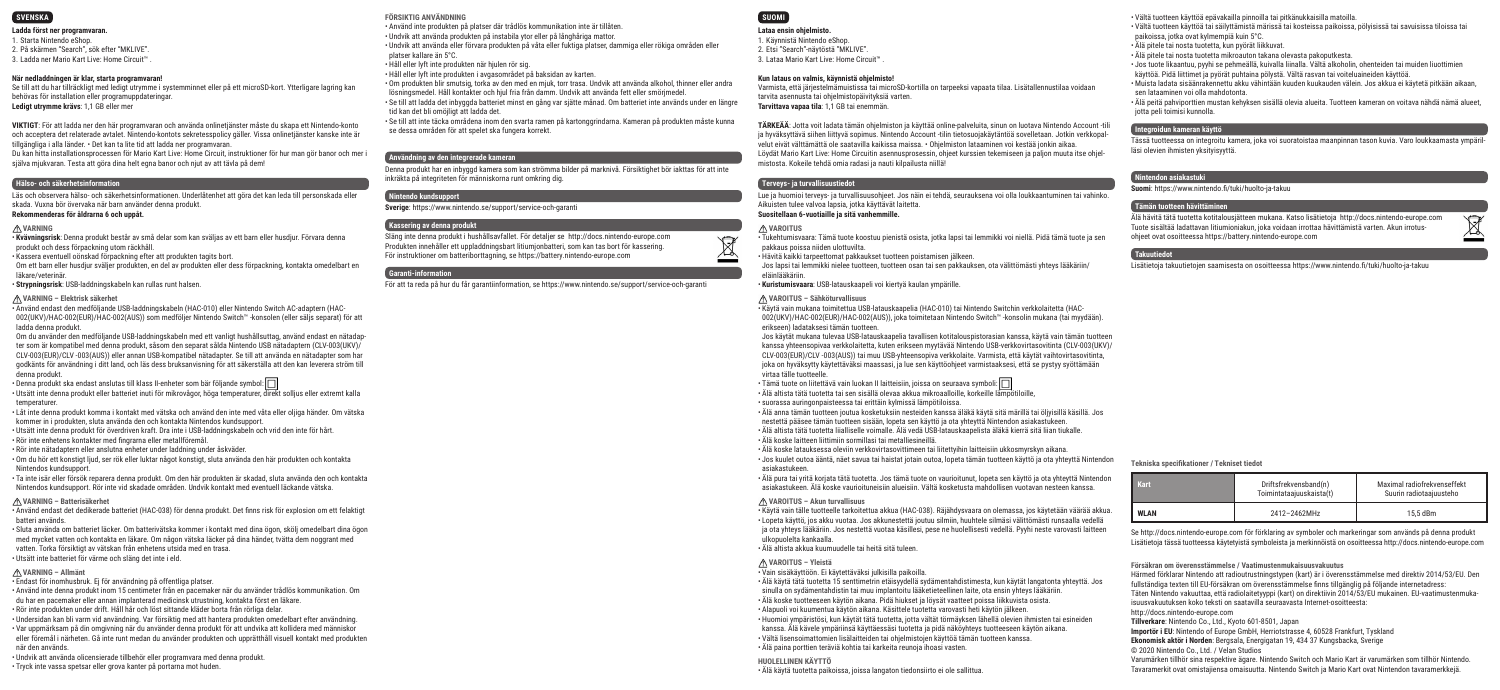

#### **Ladda först ner programvaran.**

1. Starta Nintendo eShop. 2. På skärmen "Search", sök efter "MKLIVE". 3. Ladda ner Mario Kart Live: Home Circuit™ .

#### **När nedladdningen är klar, starta programvaran!**

Se till att du har tillräckligt med ledigt utrymme i systemminnet eller på ett microSD-kort. Ytterligare lagring kan behövas för installation eller programuppdateringar. **Ledigt utrymme krävs**: 1,1 GB eller mer

**VIKTIGT**: För att ladda ner den här programvaran och använda onlinetjänster måste du skapa ett Nintendo-konto och acceptera det relaterade avtalet. Nintendo-kontots sekretesspolicy gäller. Vissa onlinetjänster kanske inte är tillgängliga i alla länder. • Det kan ta lite tid att ladda ner programvaran.

Du kan hitta installationsprocessen för Mario Kart Live: Home Circuit, instruktioner för hur man gör banor och mer i själva mjukvaran. Testa att göra dina helt egna banor och njut av att tävla på dem!

#### **Hälso- och säkerhetsinformation**

Läs och observera hälso- och säkerhetsinformationen. Underlåtenhet att göra det kan leda till personskada eller skada. Vuxna bör övervaka när barn använder denna produkt. **Rekommenderas för åldrarna 6 och uppåt.**

#### **VARNING**

• **Kvävningsrisk**: Denna produkt består av små delar som kan sväljas av ett barn eller husdjur. Förvara denna produkt och dess förpackning utom räckhåll.

• Kassera eventuell oönskad förpackning efter att produkten tagits bort. Om ett barn eller husdjur sväljer produkten, en del av produkten eller dess förpackning, kontakta omedelbart en läkare/veterinär.

• **Strypningsrisk**: USB-laddningskabeln kan rullas runt halsen.

#### **VARNING – Elektrisk säkerhet**

• Använd endast den medföljande USB-laddningskabeln (HAC-010) eller Nintendo Switch AC-adaptern (HAC-002(UKV)/HAC-002(EUR)/HAC-002(AUS)) som medföljer Nintendo Switch™ -konsolen (eller säljs separat) för att ladda denna produkt.

Om du använder den medföljande USB-laddningskabeln med ett vanligt hushållsuttag, använd endast en nätadapter som är kompatibel med denna produkt, såsom den separat sålda Nintendo USB nätadaptern (CLV-003(UKV)/ CLV-003(EUR)/CLV -003(AUS)) eller annan USB-kompatibel nätadapter. Se till att använda en nätadapter som har godkänts för användning i ditt land, och läs dess bruksanvisning för att säkerställa att den kan leverera ström till denna produkt.

 $\cdot$  Denna produkt ska endast anslutas till klass II-enheter som bär följande symbol:  $\Box$ 

• Utsätt inte denna produkt eller batteriet inuti för mikrovågor, höga temperaturer, direkt solljus eller extremt kalla temperaturer.

• Låt inte denna produkt komma i kontakt med vätska och använd den inte med våta eller oljiga händer. Om vätska kommer in i produkten, sluta använda den och kontakta Nintendos kundsupport.

• Utsätt inte denna produkt för överdriven kraft. Dra inte i USB-laddningskabeln och vrid den inte för hårt. • Rör inte enhetens kontakter med fingrarna eller metallföremål.

• Rör inte nätadaptern eller anslutna enheter under laddning under åskväder.

• Om du hör ett konstigt ljud, ser rök eller luktar något konstigt, sluta använda den här produkten och kontakta Nintendos kundsupport.

• Ta inte isär eller försök reparera denna produkt. Om den här produkten är skadad, sluta använda den och kontakta Nintendos kundsupport. Rör inte vid skadade områden. Undvik kontakt med eventuell läckande vätska.

**VARNING – Batterisäkerhet**

• Använd endast det dedikerade batteriet (HAC-038) för denna produkt. Det finns risk för explosion om ett felaktigt batteri används.

• Sluta använda om batteriet läcker. Om batterivätska kommer i kontakt med dina ögon, skölj omedelbart dina ögon med mycket vatten och kontakta en läkare. Om någon vätska läcker på dina händer, tvätta dem noggrant med vatten. Torka försiktigt av vätskan från enhetens utsida med en trasa. • Utsätt inte batteriet för värme och släng det inte i eld.

#### **VARNING – Allmänt**

• Endast för inomhusbruk. Ej för användning på offentliga platser.

• Använd inte denna produkt inom 15 centimeter från en pacemaker när du använder trådlös kommunikation. Om du har en pacemaker eller annan implanterad medicinsk utrustning, kontakta först en läkare. • Rör inte produkten under drift. Håll hår och löst sittande kläder borta från rörliga delar.

• Undersidan kan bli varm vid användning. Var försiktig med att hantera produkten omedelbart efter användning.

• Var uppmärksam på din omgivning när du använder denna produkt för att undvika att kollidera med människor eller föremål i närheten. Gå inte runt medan du använder produkten och upprätthåll visuell kontakt med produkten när den används.

• Undvik att använda olicensierade tillbehör eller programvara med denna produkt. • Tryck inte vassa spetsar eller grova kanter på portarna mot huden.

**FÖRSIKTIG ANVÄNDNING**

• Använd inte produkten på platser där trådlös kommunikation inte är tillåten. • Undvik att använda produkten på instabila ytor eller på långhåriga mattor. • Undvik att använda eller förvara produkten på våta eller fuktiga platser, dammiga eller rökiga områden eller platser kallare än 5°C.

• Håll eller lyft inte produkten när hjulen rör sig.

• Håll eller lyft inte produkten i avgasområdet på baksidan av karten. • Om produkten blir smutsig, torka av den med en mjuk, torr trasa. Undvik att använda alkohol, thinner eller andra

lösningsmedel. Håll kontakter och hjul fria från damm. Undvik att använda fett eller smörimedel. • Se till att ladda det inbyggda batteriet minst en gång var sjätte månad. Om batteriet inte används under en längre

tid kan det bli omöjligt att ladda det. • Se till att inte täcka områdena inom den svarta ramen på kartonggrindarna. Kameran på produkten måste kunna se dessa områden för att spelet ska fungera korrekt.

#### **Användning av den integrerade kameran**

Denna produkt har en inbyggd kamera som kan strömma bilder på marknivå. Försiktighet bör iakttas för att inte inkräkta på integriteten för människorna runt omkring dig.

#### **Nintendo kundsupport**

**Sverige**: https://www.nintendo.se/support/service-och-garanti

#### **Kassering av denna produkt**

Släng inte denna produkt i hushållsavfallet. För detaljer se http://docs.nintendo-europe.com Produkten innehåller ett uppladdningsbart litiumionbatteri, som kan tas bort för kassering. För instruktioner om batteriborttagning, se https://battery.nintendo-europe.com

#### **Garanti-information**

För att ta reda på hur du får garantiinformation, se https://www.nintendo.se/support/service-och-garanti

**SUOMI**

### **Lataa ensin ohjelmisto.**

1. Käynnistä Nintendo eShop. 2. Etsi "Search"-näytöstä "MKLIVE".

3. Lataa Mario Kart Live: Home Circuit™ .

#### **Kun lataus on valmis, käynnistä ohjelmisto!**

Varmista, että järjestelmämuistissa tai microSD-kortilla on tarpeeksi vapaata tilaa. Lisätallennustilaa voidaan tarvita asennusta tai ohjelmistopäivityksiä varten. **Tarvittava vapaa tila**: 1,1 GB tai enemmän.

**TÄRKEÄÄ**: Jotta voit ladata tämän ohjelmiston ja käyttää online-palveluita, sinun on luotava Nintendo Account -tili ja hyväksyttävä siihen liittyvä sopimus. Nintendo Account -tilin tietosuojakäytäntöä sovelletaan. Jotkin verkkopalvelut eivät välttämättä ole saatavilla kaikissa maissa. • Ohjelmiston lataaminen voi kestää jonkin aikaa. Löydät Mario Kart Live: Home Circuitin asennusprosessin, ohjeet kurssien tekemiseen ja paljon muuta itse ohjelmistosta. Kokeile tehdä omia radasi ja nauti kilpailusta niillä!

#### **Terveys- ja turvallisuustiedot**

Lue ja huomioi terveys- ja turvallisuusohjeet. Jos näin ei tehdä, seurauksena voi olla loukkaantuminen tai vahinko. Aikuisten tulee valvoa lapsia, jotka käyttävät laitetta. **Suositellaan 6-vuotiaille ja sitä vanhemmille.**

#### **VAROITUS**

 $\bigtriangledown$ ∠∡  $\overline{\phantom{a}}$  • Tukehtumisvaara: Tämä tuote koostuu pienistä osista, jotka lapsi tai lemmikki voi niellä. Pidä tämä tuote ja sen pakkaus poissa niiden ulottuvilta.

• Hävitä kaikki tarpeettomat pakkaukset tuotteen poistamisen jälkeen. Jos lapsi tai lemmikki nielee tuotteen, tuotteen osan tai sen pakkauksen, ota välittömästi yhteys lääkäriin/ eläinlääkäriin.

• **Kuristumisvaara**: USB-latauskaapeli voi kiertyä kaulan ympärille.

#### **VAROITUS – Sähköturvallisuus**

• Käytä vain mukana toimitettua USB-latauskaapelia (HAC-010) tai Nintendo Switchin verkkolaitetta (HAC-002(UKV)/HAC-002(EUR)/HAC-002(AUS)), joka toimitetaan Nintendo Switch™ -konsolin mukana (tai myydään). erikseen) ladataksesi tämän tuotteen. Jos käytät mukana tulevaa USB-latauskaapelia tavallisen kotitalouspistorasian kanssa, käytä vain tämän tuotteen kanssa yhteensopivaa verkkolaitetta, kuten erikseen myytävää Nintendo USB-verkkovirtasovitinta (CLV-003(UKV)/ CLV-003(EUR)/CLV -003(AUS)) tai muu USB-yhteensopiva verkkolaite. Varmista, että käytät vaihtovirtasovitinta,

joka on hyväksytty käytettäväksi maassasi, ja lue sen käyttöohjeet varmistaaksesi, että se pystyy syöttämään virtaa tälle tuotteelle.

 $\cdot$  Tämä tuote on liitettävä vain luokan II laitteisiin, joissa on seuraava symboli:  $\Box$ • Älä altista tätä tuotetta tai sen sisällä olevaa akkua mikroaalloille, korkeille lämpötiloille,

• suorassa auringonpaisteessa tai erittäin kylmissä lämpötiloissa.

• Älä anna tämän tuotteen joutua kosketuksiin nesteiden kanssa äläkä käytä sitä märillä tai öljyisillä käsillä. Jos nestettä pääsee tämän tuotteen sisään, lopeta sen käyttö ja ota yhteyttä Nintendon asiakastukeen.

• Älä altista tätä tuotetta liialliselle voimalle. Älä vedä USB-latauskaapelista äläkä kierrä sitä liian tiukalle. • Älä koske laitteen liittimiin sormillasi tai metalliesineillä.

• Älä koske latauksessa oleviin verkkovirtasovittimeen tai liitettyihin laitteisiin ukkosmyrskyn aikana.

• Jos kuulet outoa ääntä, näet savua tai haistat jotain outoa, lopeta tämän tuotteen käyttö ja ota yhteyttä Nintendon asiakastukeen.

• Älä pura tai yritä korjata tätä tuotetta. Jos tämä tuote on vaurioitunut, lopeta sen käyttö ja ota yhteyttä Nintendon asiakastukeen. Älä koske vaurioituneisiin alueisiin. Vältä kosketusta mahdollisen vuotavan nesteen kanssa.

#### **VAROITUS – Akun turvallisuus**

• Käytä vain tälle tuotteelle tarkoitettua akkua (HAC-038). Räjähdysvaara on olemassa, jos käytetään väärää akkua. • Lopeta käyttö, jos akku vuotaa. Jos akkunestettä joutuu silmiin, huuhtele silmäsi välittömästi runsaalla vedellä ja ota yhteys lääkäriin. Jos nestettä vuotaa käsillesi, pese ne huolellisesti vedellä. Pyyhi neste varovasti laitteen ulkopuolelta kankaalla.

• Älä altista akkua kuumuudelle tai heitä sitä tuleen.

#### **VAROITUS – Yleistä**

• Vain sisäkäyttöön. Ei käytettäväksi julkisilla paikoilla. • Älä käytä tätä tuotetta 15 senttimetrin etäisyydellä sydämentahdistimesta, kun käytät langatonta yhteyttä. Jos sinulla on sydämentahdistin tai muu implantoitu lääketieteellinen laite, ota ensin yhteys lääkäriin. • Älä koske tuotteeseen käytön aikana. Pidä hiukset ja löysät vaatteet poissa liikkuvista osista. • Alapuoli voi kuumentua käytön aikana. Käsittele tuotetta varovasti heti käytön jälkeen. • Huomioi ympäristösi, kun käytät tätä tuotetta, jotta vältät törmäyksen lähellä olevien ihmisten tai esineiden kanssa. Älä kävele ympäriinsä käyttäessäsi tuotetta ja pidä näköyhteys tuotteeseen käytön aikana. • Vältä lisensoimattomien lisälaitteiden tai ohjelmistojen käyttöä tämän tuotteen kanssa. • Älä paina porttien teräviä kohtia tai karkeita reunoja ihoasi vasten.

# **HUOLELLINEN KÄYTTÖ**

• Älä käytä tuotetta paikoissa, joissa langaton tiedonsiirto ei ole sallittua.

• Vältä tuotteen käyttöä epävakailla pinnoilla tai pitkänukkaisilla matoilla.

• Vältä tuotteen käyttöä tai säilyttämistä märissä tai kosteissa paikoissa, pölyisissä tai savuisissa tiloissa tai paikoissa, jotka ovat kylmempiä kuin 5°C.

- Älä pitele tai nosta tuotetta, kun pyörät liikkuvat.
- Älä pitele tai nosta tuotetta mikroauton takana olevasta pakoputkesta.
- Jos tuote likaantuu, pyyhi se pehmeällä, kuivalla liinalla. Vältä alkoholin, ohenteiden tai muiden liuottimien

käyttöä. Pidä liittimet ja pyörät puhtaina pölystä. Vältä rasvan tai voiteluaineiden käyttöä. • Muista ladata sisäänrakennettu akku vähintään kuuden kuukauden välein. Jos akkua ei käytetä pitkään aikaan,

sen lataaminen voi olla mahdotonta.

• Älä peitä pahviporttien mustan kehyksen sisällä olevia alueita. Tuotteen kameran on voitava nähdä nämä alueet, jotta peli toimisi kunnolla.

#### **Integroidun kameran käyttö**

Tässä tuotteessa on integroitu kamera, joka voi suoratoistaa maanpinnan tason kuvia. Varo loukkaamasta ympärilläsi olevien ihmisten yksityisyyttä.

#### **Nintendon asiakastuki**

**Suomi**: https://www.nintendo.fi/tuki/huolto-ja-takuu

#### **Tämän tuotteen hävittäminen**

Älä hävitä tätä tuotetta kotitalousjätteen mukana. Katso lisätietoja http://docs.nintendo-europe.com  $\overline{\mathbb{X}}$ Tuote sisältää ladattavan litiumioniakun, joka voidaan irrottaa hävittämistä varten. Akun irrotusohjeet ovat osoitteessa https://battery.nintendo-europe.com

#### **Takuutiedot**

Lisätietoja takuutietojen saamisesta on osoitteessa https://www.nintendo.fi/tuki/huolto-ja-takuu

**Tekniska specifikationer / Tekniset tiedot** 

| Kart        | Driftsfrekvensband(n)<br>Toimintataajuuskaista(t) | Maximal radiofrekvenseffekt<br>Suurin radiotaajuusteho |
|-------------|---------------------------------------------------|--------------------------------------------------------|
| <b>WLAN</b> | 2412-2462MHz                                      | 15.5 dBm                                               |

Se http://docs.nintendo-europe.com för förklaring av symboler och markeringar som används på denna produkt Lisätietoja tässä tuotteessa käytetyistä symboleista ja merkinnöistä on osoitteessa http://docs.nintendo-europe.com

**Försäkran om överensstämmelse / Vaatimustenmukaisuusvakuutus**

Härmed förklarar Nintendo att radioutrustningstypen (kart) är i överensstämmelse med direktiv 2014/53/EU. Den fullständiga texten till EU-försäkran om överensstämmelse finns tillgänglig på följande internetadress: Täten Nintendo vakuuttaa, että radiolaitetyyppi (kart) on direktiivin 2014/53/EU mukainen. EU-vaatimustenmukaisuusvakuutuksen koko teksti on saatavilla seuraavasta Internet-osoitteesta: http://docs.nintendo-europe.com **Tillverkare**: Nintendo Co., Ltd., Kyoto 601-8501, Japan **Importör i EU**: Nintendo of Europe GmbH, Herriotstrasse 4, 60528 Frankfurt, Tyskland **Ekonomisk aktör i Norden**: Bergsala, Energigatan 19, 434 37 Kungsbacka, Sverige © 2020 Nintendo Co., Ltd. / Velan Studios Varumärken tillhör sina respektive ägare. Nintendo Switch och Mario Kart är varumärken som tillhör Nintendo. Tavaramerkit ovat omistajiensa omaisuutta. Nintendo Switch ja Mario Kart ovat Nintendon tavaramerkkejä.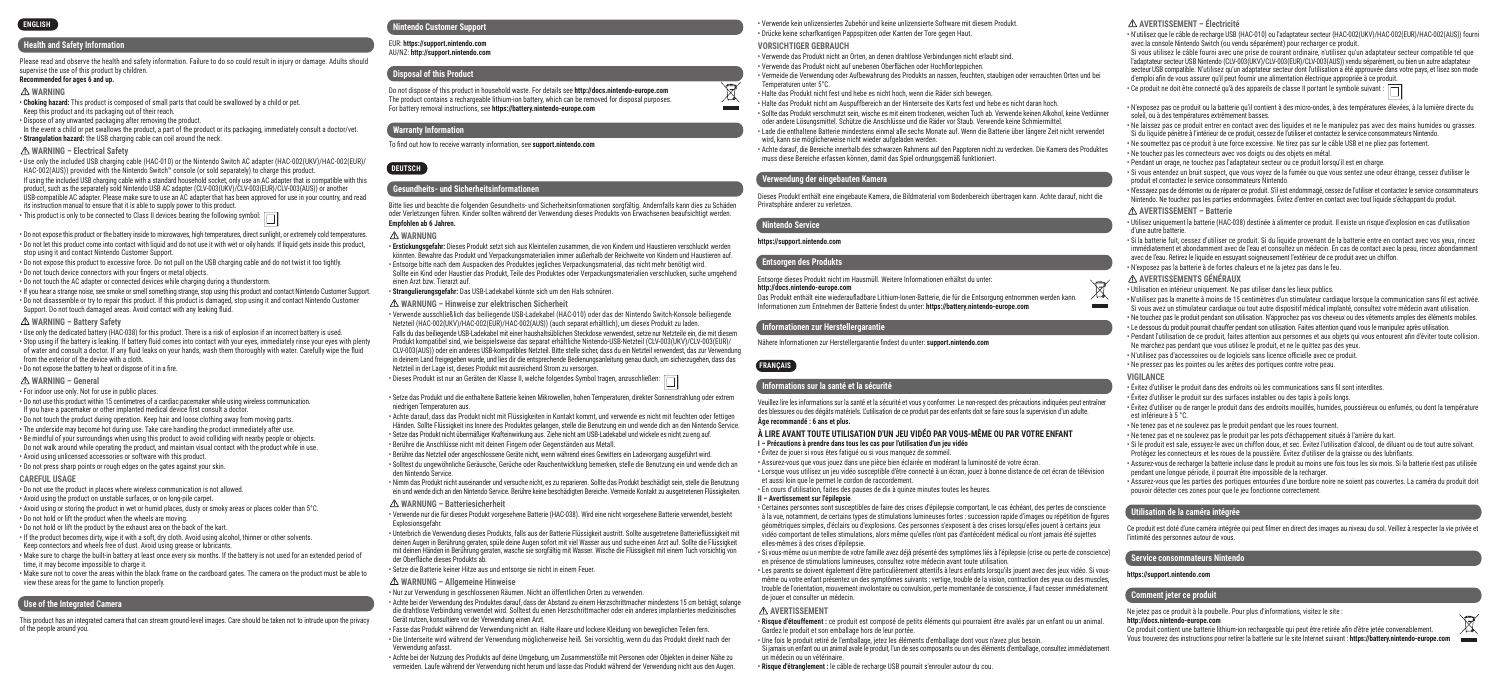#### **Health and Safety Information**

Please read and observe the health and safety information. Failure to do so could result in injury or damage. Adults should supervise the use of this product by children.

#### **Recommended for ages 6 and up.**

#### **WARNING**

• **Choking hazard:** This product is composed of small parts that could be swallowed by a child or pet. Keep this product and its packaging out of their reach.

• Dispose of any unwanted packaging after removing the product.

In the event a child or pet swallows the product, a part of the product or its packaging, immediately consult a doctor/vet. • **Strangulation hazard:** the USB charging cable can coil around the neck.

#### **WARNING – Electrical Safety**

• Use only the included USB charging cable (HAC-010) or the Nintendo Switch AC adapter (HAC-002(UKV)/HAC-002(EUR)/ HAC-002(AUS)) provided with the Nintendo Switch™ console (or sold separately) to charge this product. If using the included USB charging cable with a standard household socket, only use an AC adapter that is compatible with this product, such as the separately sold Nintendo USB AC adapter (CLV-003(UKV)/CLV-003(EUR)/CLV-003(AUS)) or another USB-compatible AC adapter. Please make sure to use an AC adapter that has been approved for use in your country, and read its instruction manual to ensure that it is able to supply power to this product.

 $\cdot$  This product is only to be connected to Class II devices bearing the following symbol:  $\Box$ 

• Do not expose this product or the battery inside to microwaves, high temperatures, direct sunlight, or extremely cold temperatures. • Do not let this product come into contact with liquid and do not use it with wet or oily hands. If liquid gets inside this product, stop using it and contact Nintendo Customer Support.

• Do not expose this product to excessive force. Do not pull on the USB charging cable and do not twist it too tightly. • Do not touch device connectors with your fingers or metal objects.

• Do not touch the AC adapter or connected devices while charging during a thunderstorm.

• If you hear a strange noise, see smoke or smell something strange, stop using this product and contact Nintendo Customer Support. • Do not disassemble or try to repair this product. If this product is damaged, stop using it and contact Nintendo Customer Support. Do not touch damaged areas. Avoid contact with any leaking fluid.

#### **WARNING – Battery Safety**

• Use only the dedicated battery (HAC-038) for this product. There is a risk of explosion if an incorrect battery is used. • Stop using if the battery is leaking. If battery fluid comes into contact with your eyes, immediately rinse your eyes with plenty of water and consult a doctor. If any fluid leaks on your hands, wash them thoroughly with water. Carefully wipe the fluid from the exterior of the device with a cloth.

• Do not expose the battery to heat or dispose of it in a fire.

#### **WARNING – General**

• For indoor use only. Not for use in public places.

• Do not use this product within 15 centimetres of a cardiac pacemaker while using wireless communication. If you have a pacemaker or other implanted medical device first consult a doctor.

• Do not touch the product during operation. Keep hair and loose clothing away from moving parts. • The underside may become hot during use. Take care handling the product immediately after use. • Be mindful of your surroundings when using this product to avoid colliding with nearby people or objects.

Do not walk around while operating the product, and maintain visual contact with the product while in use. • Avoid using unlicensed accessories or software with this product.

• Do not press sharp points or rough edges on the gates against your skin.

#### **CAREFUL USAGE**

• Do not use the product in places where wireless communication is not allowed.

• Avoid using the product on unstable surfaces, or on long-pile carpet.

• Avoid using or storing the product in wet or humid places, dusty or smoky areas or places colder than 5°C.

• Do not hold or lift the product when the wheels are moving.

• Do not hold or lift the product by the exhaust area on the back of the kart.

• If the product becomes dirty, wipe it with a soft, dry cloth. Avoid using alcohol, thinner or other solvents. Keep connectors and wheels free of dust. Avoid using grease or lubricants.

• Make sure to charge the built-in battery at least once every six months. If the battery is not used for an extended period of time, it may become impossible to charge it.

• Make sure not to cover the areas within the black frame on the cardboard gates. The camera on the product must be able to view these areas for the game to function properly.

#### **Use of the Integrated Camera**

This product has an integrated camera that can stream ground-level images. Care should be taken not to intrude upon the privacy of the people around you.

#### **ENGLISH Nintendo Customer Support**

EUR: **https://support.nintendo.com**  AU/NZ: **http://support.nintendo.com**

#### **Disposal of this Product**

Do not dispose of this product in household waste. For details see **http://docs.nintendo-europe.com** The product contains a rechargeable lithium-ion battery, which can be removed for disposal purposes. For battery removal instructions, see **https://battery.nintendo-europe.com**

# **Warranty Information**

To find out how to receive warranty information, see **support.nintendo.com**

# **Gesundheits- und Sicherheitsinformationen**

Bitte lies und beachte die folgenden Gesundheits- und Sicherheitsinformationen sorgfältig. Andernfalls kann dies zu Schäden oder Verletzungen führen. Kinder sollten während der Verwendung dieses Produkts von Erwachsenen beaufsichtigt werden. **Empfohlen ab 6 Jahren.**

#### **WARNUNG**

**EUTSCH** 

• **Erstickungsgefahr:** Dieses Produkt setzt sich aus Kleinteilen zusammen, die von Kindern und Haustieren verschluckt werden könnten. Bewahre das Produkt und Verpackungsmaterialien immer außerhalb der Reichweite von Kindern und Haustieren auf. • Entsorge bitte nach dem Auspacken des Produktes jegliches Verpackungsmaterial, das nicht mehr benötigt wird. Sollte ein Kind oder Haustier das Produkt, Teile des Produktes oder Verpackungsmaterialien verschlucken, suche umgehend einen Arzt bzw. Tierarzt auf.

• **Strangulierungsgefahr:** Das USB-Ladekabel könnte sich um den Hals schnüren.

**WARNUNG – Hinweise zur elektrischen Sicherheit**

• Verwende ausschließlich das beiliegende USB-Ladekabel (HAC-010) oder das der Nintendo Switch-Konsole beiliegende Netzteil (HAC-002(UKV)/HAC-002(EUR)/HAC-002(AUS)) (auch separat erhältlich), um dieses Produkt zu laden. Falls du das beiliegende USB-Ladekabel mit einer haushaltsüblichen Steckdose verwendest, setze nur Netzteile ein, die mit diesem Produkt kompatibel sind, wie beispielsweise das separat erhältliche Nintendo-USB-Netzteil (CLV-003(UKV)/CLV-003(EUR)/ CLV-003(AUS)) oder ein anderes USB-kompatibles Netzteil. Bitte stelle sicher, dass du ein Netzteil verwendest, das zur Verwendung in deinem Land freigegeben wurde, und lies dir die entsprechende Bedienungsanleitung genau durch, um sicherzugehen, dass das Netzteil in der Lage ist, dieses Produkt mit ausreichend Strom zu versorgen.

• Dieses Produkt ist nur an Geräten der Klasse II, welche folgendes Symbol tragen, anzuschließen:

• Setze das Produkt und die enthaltene Batterie keinen Mikrowellen, hohen Temperaturen, direkter Sonnenstrahlung oder extrem niedrigen Temperaturen aus.

• Achte darauf, dass das Produkt nicht mit Flüssigkeiten in Kontakt kommt, und verwende es nicht mit feuchten oder fettigen Händen. Sollte Flüssigkeit ins Innere des Produktes gelangen, stelle die Benutzung ein und wende dich an den Nintendo Service.

• Setze das Produkt nicht übermäßiger Krafteinwirkung aus. Ziehe nicht am USB-Ladekabel und wickele es nicht zu eng auf. • Berühre die Anschlüsse nicht mit deinen Fingern oder Gegenständen aus Metall.

• Berühre das Netzteil oder angeschlossene Geräte nicht, wenn während eines Gewitters ein Ladevorgang ausgeführt wird. • Solltest du ungewöhnliche Geräusche, Gerüche oder Rauchentwicklung bemerken, stelle die Benutzung ein und wende dich an

den Nintendo Service.

• Nimm das Produkt nicht auseinander und versuche nicht, es zu reparieren. Sollte das Produkt beschädigt sein, stelle die Benutzung ein und wende dich an den Nintendo Service. Berühre keine beschädigten Bereiche. Vermeide Kontakt zu ausgetretenen Flüssigkeiten.

#### **WARNUNG – Batteriesicherheit**

• Verwende nur die für dieses Produkt vorgesehene Batterie (HAC-038). Wird eine nicht vorgesehene Batterie verwendet, besteht Explosionsgefahr.

• Unterbrich die Verwendung dieses Produkts, falls aus der Batterie Flüssigkeit austritt. Sollte ausgetretene Batterieflüssigkeit mit deinen Augen in Berührung geraten, spüle deine Augen sofort mit viel Wasser aus und suche einen Arzt auf. Sollte die Flüssigkeit mit deinen Händen in Berührung geraten, wasche sie sorgfältig mit Wasser. Wische die Flüssigkeit mit einem Tuch vorsichtig von der Oberfläche dieses Produkts ab.

• Setze die Batterie keiner Hitze aus und entsorge sie nicht in einem Feuer.

**WARNUNG – Allgemeine Hinweise**

• Nur zur Verwendung in geschlossenen Räumen. Nicht an öffentlichen Orten zu verwenden.

• Achte bei der Verwendung des Produktes darauf, dass der Abstand zu einem Herzschrittmacher mindestens 15 cm beträgt, solange die drahtlose Verbindung verwendet wird. Solltest du einen Herzschrittmacher oder ein anderes implantiertes medizinisches Gerät nutzen, konsultiere vor der Verwendung einen Arzt.

• Fasse das Produkt während der Verwendung nicht an. Halte Haare und lockere Kleidung von beweglichen Teilen fern. • Die Unterseite wird während der Verwendung möglicherweise heiß. Sei vorsichtig, wenn du das Produkt direkt nach der Verwendung anfasst.

• Achte bei der Nutzung des Produkts auf deine Umgebung, um Zusammenstöße mit Personen oder Objekten in deiner Nähe zu vermeiden. Laufe während der Verwendung nicht herum und lasse das Produkt während der Verwendung nicht aus den Augen.

• Verwende kein unlizensiertes Zubehör und keine unlizensierte Software mit diesem Produkt. • Drücke keine scharfkantigen Pappspitzen oder Kanten der Tore gegen Haut.

**VORSICHTIGER GEBRAUCH**

• Verwende das Produkt nicht an Orten, an denen drahtlose Verbindungen nicht erlaubt sind. • Verwende das Produkt nicht auf unebenen Oberflächen oder Hochflorteppichen.

• Vermeide die Verwendung oder Aufbewahrung des Produkts an nassen, feuchten, staubigen oder verrauchten Orten und bei Temperaturen unter 5°C.

• Halte das Produkt nicht fest und hebe es nicht hoch, wenn die Räder sich bewegen.

• Halte das Produkt nicht am Auspuffbereich an der Hinterseite des Karts fest und hebe es nicht daran hoch.

• Sollte das Produkt verschmutzt sein, wische es mit einem trockenen, weichen Tuch ab. Verwende keinen Alkohol, keine Verdünner oder andere Lösungsmittel. Schütze die Anschlüsse und die Räder vor Staub. Verwende keine Schmiermittel.

• Lade die enthaltene Batterie mindestens einmal alle sechs Monate auf. Wenn die Batterie über längere Zeit nicht verwendet wird, kann sie möglicherweise nicht wieder aufgeladen werden.

• Achte darauf, die Bereiche innerhalb des schwarzen Rahmens auf den Papptoren nicht zu verdecken. Die Kamera des Produktes muss diese Bereiche erfassen können, damit das Spiel ordnungsgemäß funktioniert.

#### **Verwendung der eingebauten Kamera**

Dieses Produkt enthält eine eingebaute Kamera, die Bildmaterial vom Bodenbereich übertragen kann. Achte darauf, nicht die Privatsphäre anderer zu verletzen.

#### **Nintendo Service**

Y  $\overline{\mathcal{A}}$ 

#### **https://support.nintendo.com**

#### **Entsorgen des Produkts**

Entsorge dieses Produkt nicht im Hausmüll. Weitere Informationen erhältst du unter:

#### **http://docs.nintendo-europe.com**

Das Produkt enthält eine wiederaufladbare Lithium-Ionen-Batterie, die für die Entsorgung entnommen werden kann. Informationen zum Entnehmen der Batterie findest du unter: **https://battery.nintendo-europe.com**

#### **Informationen zur Herstellergarantie**

Nähere Informationen zur Herstellergarantie findest du unter: **support.nintendo.com**

#### **FRANÇAIS**

#### **Informations sur la santé et la sécurité**

Veuillez lire les informations sur la santé et la sécurité et vous y conformer. Le non-respect des précautions indiquées peut entraîner des blessures ou des dégâts matériels. L'utilisation de ce produit par des enfants doit se faire sous la supervision d'un adulte. **Âge recommandé : 6 ans et plus.**

#### **À LIRE AVANT TOUTE UTILISATION D'UN JEU VIDÉO PAR VOUS-MÊME OU PAR VOTRE ENFANT I – Précautions à prendre dans tous les cas pour l'utilisation d'un jeu vidéo**

• Évitez de jouer si vous êtes fatigué ou si vous manquez de sommeil.

• Assurez-vous que vous jouez dans une pièce bien éclairée en modérant la luminosité de votre écran. • Lorsque vous utilisez un jeu vidéo susceptible d'être connecté à un écran, jouez à bonne distance de cet écran de télévision et aussi loin que le permet le cordon de raccordement.

• En cours d'utilisation, faites des pauses de dix à quinze minutes toutes les heures.

#### **II – Avertissement sur l'épilepsie**

• Certaines personnes sont susceptibles de faire des crises d'épilepsie comportant, le cas échéant, des pertes de conscience à la vue, notamment, de certains types de stimulations lumineuses fortes : succession rapide d'images ou répétition de figures géométriques simples, d'éclairs ou d'explosions. Ces personnes s'exposent à des crises lorsqu'elles jouent à certains jeux vidéo comportant de telles stimulations, alors même qu'elles n'ont pas d'antécédent médical ou n'ont jamais été sujettes elles-mêmes à des crises d'épilepsie.

• Si vous-même ou un membre de votre famille avez déjà présenté des symptômes liés à l'épilepsie (crise ou perte de conscience) en présence de stimulations lumineuses, consultez votre médecin avant toute utilisation.

• Les parents se doivent également d'être particulièrement attentifs à leurs enfants lorsqu'ils jouent avec des jeux vidéo. Si vousmême ou votre enfant présentez un des symptômes suivants : vertige, trouble de la vision, contraction des yeux ou des muscles, trouble de l'orientation, mouvement involontaire ou convulsion, perte momentanée de conscience, il faut cesser immédiatement de jouer et consulter un médecin.

#### **AVERTISSEMENT**

• **Risque d'étouffement :** ce produit est composé de petits éléments qui pourraient être avalés par un enfant ou un animal. Gardez le produit et son emballage hors de leur portée.

• Une fois le produit retiré de l'emballage, jetez les éléments d'emballage dont vous n'avez plus besoin.

Si jamais un enfant ou un animal avale le produit, l'un de ses composants ou un des éléments d'emballage, consultez immédiatement un médecin ou un vétérinaire.

• **Risque d'étranglement :** le câble de recharge USB pourrait s'enrouler autour du cou.

#### **AVERTISSEMENT – Électricité**

soleil, ou à des températures extrêmement basses.

produit et contactez le service consommateurs Nintendo.

**AVERTISSEMENT – Batterie**

**AVERTISSEMENTS GÉNÉRAUX**

d'une autre batterie.

**VIGILANCE**

 $\sqrt{\phantom{a}}$ 

est inférieure à 5 °C.

• Ne touchez pas les connecteurs avec vos doigts ou des objets en métal.

• N'exposez pas la batterie à de fortes chaleurs et ne la jetez pas dans le feu.

• Utilisation en intérieur uniquement. Ne pas utiliser dans les lieux publics.

Ne marchez pas pendant que vous utilisez le produit, et ne le quittez pas des yeux. • N'utilisez pas d'accessoires ou de logiciels sans licence officielle avec ce produit. • Ne pressez pas les pointes ou les arêtes des portiques contre votre peau.

• Ne tenez pas et ne soulevez pas le produit pendant que les roues tournent.

pendant une longue période, il pourrait être impossible de la recharger.

Ne jetez pas ce produit à la poubelle. Pour plus d'informations, visitez le site :

pouvoir détecter ces zones pour que le jeu fonctionne correctement.

**Utilisation de la caméra intégrée**

l'intimité des personnes autour de vous. **Service consommateurs Nintendo https://support.nintendo.com Comment jeter ce produit**

**http://docs.nintendo-europe.com**

• Évitez d'utiliser le produit dans des endroits où les communications sans fil sont interdites. • Évitez d'utiliser le produit sur des surfaces instables ou des tapis à poils longs.

• Ne tenez pas et ne soulevez pas le produit par les pots d'échappement situés à l'arrière du kart.

Protégez les connecteurs et les roues de la poussière. Évitez d'utiliser de la graisse ou des lubrifiants.

Ce produit contient une batterie lithium-ion rechargeable qui peut être retirée afin d'être jetée convenablement. Vous trouverez des instructions pour retirer la batterie sur le site Internet suivant : **https://battery.nintendo-europe.com**

• N'utilisez que le câble de recharge USB (HAC-010) ou l'adaptateur secteur (HAC-002(UKV)/HAC-002(EUR)/HAC-002(AUS)) fourni

Si vous utilisez le câble fourni avec une prise de courant ordinaire, n'utilisez qu'un adaptateur secteur compatible tel que l'adaptateur secteur USB Nintendo (CLV-003(UKV)/CLV-003(EUR)/CLV-003(AUS)) vendu séparément, ou bien un autre adaptateur secteur USB compatible. N'utilisez qu'un adaptateur secteur dont l'utilisation a été approuvée dans votre pays, et lisez son mode

• N'exposez pas ce produit ou la batterie qu'il contient à des micro-ondes, à des températures élevées, à la lumière directe du

• Ne laissez pas ce produit entrer en contact avec des liquides et ne le manipulez pas avec des mains humides ou grasses. Si du liquide pénètre à l'intérieur de ce produit, cessez de l'utiliser et contactez le service consommateurs Nintendo. • Ne soumettez pas ce produit à une force excessive. Ne tirez pas sur le câble USB et ne pliez pas fortement.

• Si vous entendez un bruit suspect, que vous voyez de la fumée ou que vous sentez une odeur étrange, cessez d'utiliser le

• Utilisez uniquement la batterie (HAC-038) destinée à alimenter ce produit. Il existe un risque d'explosion en cas d'utilisation

• Si la batterie fuit, cessez d'utiliser ce produit. Si du liquide provenant de la batterie entre en contact avec vos yeux, rincez immédiatement et abondamment avec de l'eau et consultez un médecin. En cas de contact avec la peau, rincez abondamment

• N'utilisez pas la manette à moins de 15 centimètres d'un stimulateur cardiaque lorsque la communication sans fil est activée. Si vous avez un stimulateur cardiaque ou tout autre dispositif médical implanté, consultez votre médecin avant utilisation. • Ne touchez pas le produit pendant son utilisation. N'approchez pas vos cheveux ou des vêtements amples des éléments mobiles. • Le dessous du produit pourrait chauffer pendant son utilisation. Faites attention quand vous le manipulez après utilisation. • Pendant l'utilisation de ce produit, faites attention aux personnes et aux objets qui vous entourent afin d'éviter toute collision.

• Évitez d'utiliser ou de ranger le produit dans des endroits mouillés, humides, poussiéreux ou enfumés, ou dont la température

• Si le produit est sale, essuyez-le avec un chiffon doux, et sec. Évitez l'utilisation d'alcool, de diluant ou de tout autre solvant.

• Assurez-vous de recharger la batterie incluse dans le produit au moins une fois tous les six mois. Si la batterie n'est pas utilisée

• Assurez-vous que les parties des portiques entourées d'une bordure noire ne soient pas couvertes. La caméra du produit doit

Ce produit est doté d'une caméra intégrée qui peut filmer en direct des images au niveau du sol. Veillez à respecter la vie privée et

• N'essayez pas de démonter ou de réparer ce produit. S'il est endommagé, cessez de l'utiliser et contactez le service consommateurs Nintendo. Ne touchez pas les parties endommagées. Évitez d'entrer en contact avec tout liquide s'échappant du produit.

avec la console Nintendo Switch (ou vendu séparément) pour recharger ce produit.

d'emploi afin de vous assurer qu'il peut fournir une alimentation électrique appropriée à ce produit. • Ce produit ne doit être connecté qu'à des appareils de classe II portant le symbole suivant :

• Pendant un orage, ne touchez pas l'adaptateur secteur ou ce produit lorsqu'il est en charge.

avec de l'eau. Retirez le liquide en essuyant soigneusement l'extérieur de ce produit avec un chiffon.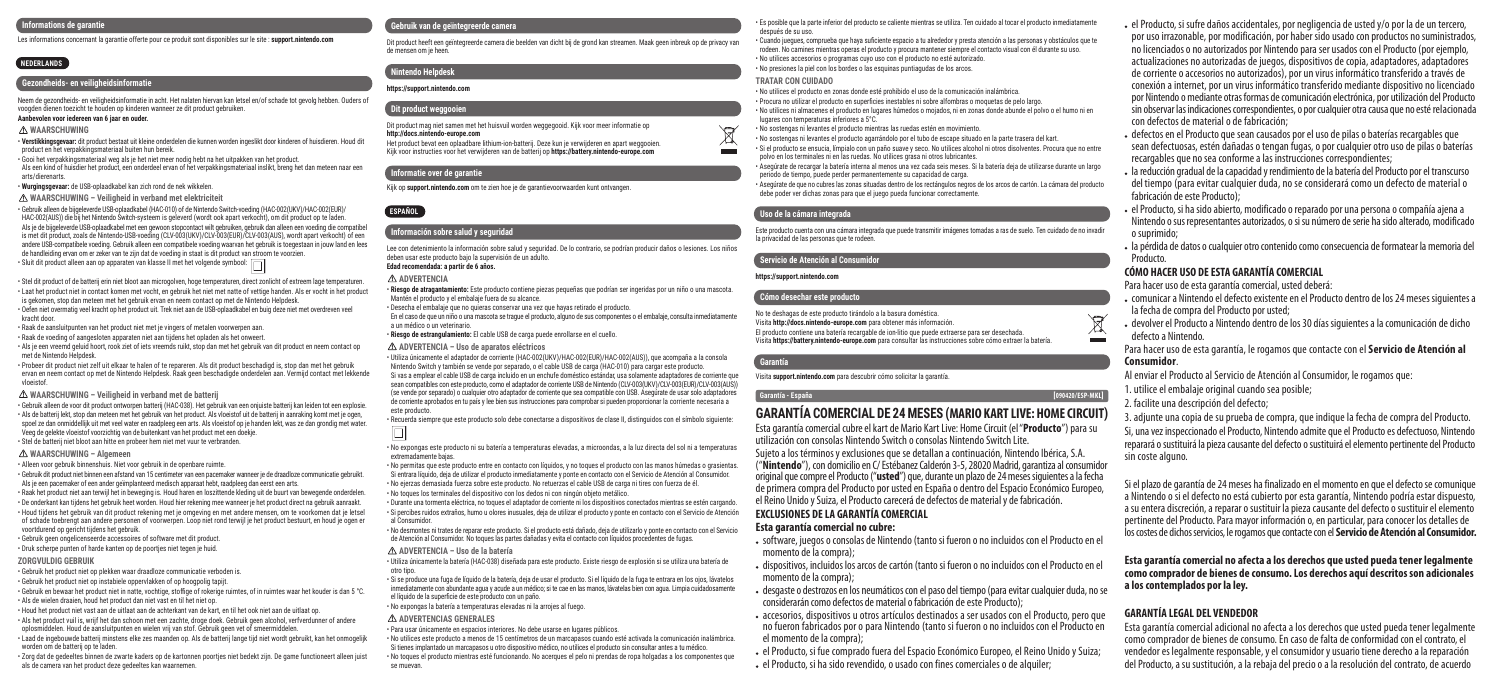#### **Informations de garantie**

Les informations concernant la garantie offerte pour ce produit sont disponibles sur le site : **support.nintendo.com**

# **NEDERLANDS**

# **Gezondheids- en veiligheidsinformatie**

Neem de gezondheids- en veiligheidsinformatie in acht. Het nalaten hiervan kan letsel en/of schade tot gevolg hebben. Ouders of voogden dienen toezicht te houden op kinderen wanneer ze dit product gebruiken.

#### **Aanbevolen voor iedereen van 6 jaar en ouder.**

#### **WAARSCHUWING**

• **Verstikkingsgevaar:** dit product bestaat uit kleine onderdelen die kunnen worden ingeslikt door kinderen of huisdieren. Houd dit product en het verpakkingsmateriaal buiten hun bereik.

• Gooi het verpakkingsmateriaal weg als je het niet meer nodig hebt na het uitpakken van het product. Als een kind of huisdier het product, een onderdeel ervan of het verpakkingsmateriaal inslikt, breng het dan meteen naar een arts/dierenarts.

• **Wurgingsgevaar:** de USB-oplaadkabel kan zich rond de nek wikkelen.

#### **WAARSCHUWING – Veiligheid in verband met elektriciteit**

• Gebruik alleen de bijgeleverde USB-oplaadkabel (HAC-010) of de Nintendo Switch-voeding (HAC-002(UKV)/HAC-002(EUR)/ HAC-002(AUS)) die bij het Nintendo Switch-systeem is geleverd (wordt ook apart verkocht), om dit product op te laden. Als je de bijgeleverde USB-oplaadkabel met een gewoon stopcontact wilt gebruiken, gebruik dan alleen een voeding die compatibel is met dit product, zoals de Nintendo-USB-voeding (CLV-003(UKV)/CLV-003(EUR)/CLV-003(AUS), wordt apart verkocht) of een andere USB-compatibele voeding. Gebruik alleen een compatibele voeding waarvan het gebruik is toegestaan in jouw land en lees de handleiding ervan om er zeker van te zijn dat de voeding in staat is dit product van stroom te voorzien. • Sluit dit product alleen aan op apparaten van klasse II met het volgende symbool:  $\Box$ 

• Stel dit product of de batterij erin niet bloot aan microgolven, hoge temperaturen, direct zonlicht of extreem lage temperaturen. • Laat het product niet in contact komen met vocht, en gebruik het niet met natte of vettige handen. Als er vocht in het product is gekomen, stop dan meteen met het gebruik ervan en neem contact op met de Nintendo Helpdesk.

• Oefen niet overmatig veel kracht op het product uit. Trek niet aan de USB-oplaadkabel en buig deze niet met overdreven veel kracht door.

• Raak de aansluitpunten van het product niet met je vingers of metalen voorwerpen aan.

• Raak de voeding of aangesloten apparaten niet aan tijdens het opladen als het onweert. • Als je een vreemd geluid hoort, rook ziet of iets vreemds ruikt, stop dan met het gebruik van dit product en neem contact op met de Nintendo Helpdesk.

• Probeer dit product niet zelf uit elkaar te halen of te repareren. Als dit product beschadigd is, stop dan met het gebruik ervan en neem contact op met de Nintendo Helpdesk. Raak geen beschadigde onderdelen aan. Vermijd contact met lekkende vloeistof.

**WAARSCHUWING – Veiligheid in verband met de batterij**

• Gebruik alleen de voor dit product ontworpen batterij (HAC-038). Het gebruik van een onjuiste batterij kan leiden tot een explosie. • Als de batterij lekt, stop dan meteen met het gebruik van het product. Als vloeistof uit de batterij in aanraking komt met je ogen, spoel ze dan onmiddellijk uit met veel water en raadpleeg een arts. Als vloeistof op je handen lekt, was ze dan grondig met water. Veeg de gelekte vloeistof voorzichtig van de buitenkant van het product met een doekje. • Stel de batterij niet bloot aan hitte en probeer hem niet met vuur te verbranden.

#### **WAARSCHUWING – Algemeen**

• Alleen voor gebruik binnenshuis. Niet voor gebruik in de openbare ruimte.

• Gebruik dit product niet binnen een afstand van 15 centimeter van een pacemaker wanneer je de draadloze communicatie gebruikt. Als je een pacemaker of een ander geïmplanteerd medisch apparaat hebt, raadpleeg dan eerst een arts.

• Raak het product niet aan terwijl het in beweging is. Houd haren en loszittende kleding uit de buurt van bewegende onderdelen. • De onderkant kan tijdens het gebruik heet worden. Houd hier rekening mee wanneer je het product direct na gebruik aanraakt. • Houd tijdens het gebruik van dit product rekening met je omgeving en met andere mensen, om te voorkomen dat je letsel of schade toebrengt aan andere personen of voorwerpen. Loop niet rond terwijl je het product bestuurt, en houd je ogen er voortdurend op gericht tijdens het gebruik.

• Gebruik geen ongelicenseerde accessoires of software met dit product.

• Druk scherpe punten of harde kanten op de poortjes niet tegen je huid.

#### **ZORGVULDIG GEBRUIK**

• Gebruik het product niet op plekken waar draadloze communicatie verboden is.

• Gebruik het product niet op instabiele oppervlakken of op hoogpolig tapijt.

• Gebruik en bewaar het product niet in natte, vochtige, stoffige of rokerige ruimtes, of in ruimtes waar het kouder is dan 5 °C. • Als de wielen draaien, houd het product dan niet vast en til het niet op.

• Houd het product niet vast aan de uitlaat aan de achterkant van de kart, en til het ook niet aan de uitlaat op. • Als het product vuil is, wrijf het dan schoon met een zachte, droge doek. Gebruik geen alcohol, verfverdunner of andere oplosmiddelen. Houd de aansluitpunten en wielen vrij van stof. Gebruik geen vet of smeermiddelen. • Laad de ingebouwde batterij minstens elke zes maanden op. Als de batterij lange tijd niet wordt gebruikt, kan het onmogelijk

worden om de batterij op te laden. • Zorg dat de gedeeltes binnen de zwarte kaders op de kartonnen poortjes niet bedekt zijn. De game functioneert alleen juist

als de camera van het product deze gedeeltes kan waarnemen.

#### **Gebruik van de geïntegreerde camera**

Dit product heeft een geïntegreerde camera die beelden van dicht bij de grond kan streamen. Maak geen inbreuk op de privacy van de mensen om je heen.

# **Nintendo Helpdesk**

**https://support.nintendo.com** 

#### **Dit product weggooien** Dit product mag niet samen met het huisvuil worden weggegooid. Kijk voor meer informatie op **http://docs.nintendo-europe.com** Het product bevat een oplaadbare lithium-ion-batterij. Deze kun je verwijderen en apart weggooien. Kijk voor instructies voor het verwijderen van de batterij op **https://battery.nintendo-europe.com**

#### **Informatie over de garantie**

```
Kijk op support.nintendo.com om te zien hoe je de garantievoorwaarden kunt ontvangen.
```
### **Información sobre salud y seguridad**

Lee con detenimiento la información sobre salud y seguridad. De lo contrario, se podrían producir daños o lesiones. Los niños deben usar este producto bajo la supervisión de un adulto.

# **Edad recomendada: a partir de 6 años.**

**ADVERTENCIA** 

**ESPAÑOL**

• **Riesgo de atragantamiento:** Este producto contiene piezas pequeñas que podrían ser ingeridas por un niño o una mascota. Mantén el producto y el embalaje fuera de su alcance.

• Desecha el embalaje que no quieras conservar una vez que hayas retirado el producto.

En el caso de que un niño o una mascota se trague el producto, alguno de sus componentes o el embalaje, consulta inmediatamente a un médico o un veterinario.

• **Riesgo de estrangulamiento:** El cable USB de carga puede enrollarse en el cuello.

#### **ADVERTENCIA – Uso de aparatos eléctricos**

• Utiliza únicamente el adaptador de corriente (HAC-002(UKV)/HAC-002(EUR)/HAC-002(AUS)), que acompaña a la consola Nintendo Switch y también se vende por separado, o el cable USB de carga (HAC-010) para cargar este producto. Si vas a emplear el cable USB de carga incluido en un enchufe doméstico estándar, usa solamente adaptadores de corriente que

sean compatibles con este producto, como el adaptador de corriente USB de Nintendo (CLV-003(UKV)/CLV-003(EUR)/CLV-003(AUS)) (se vende por separado) o cualquier otro adaptador de corriente que sea compatible con USB. Asegúrate de usar solo adaptadores de corriente aprobados en tu país y lee bien sus instrucciones para comprobar si pueden proporcionar la corriente necesaria a este producto.

• Recuerda siempre que este producto solo debe conectarse a dispositivos de clase II, distinguidos con el símbolo siguiente:

#### • No expongas este producto ni su batería a temperaturas elevadas, a microondas, a la luz directa del sol ni a temperaturas extremadamente bajas.

• No permitas que este producto entre en contacto con líquidos, y no toques el producto con las manos húmedas o grasientas. Si entrara líquido, deja de utilizar el producto inmediatamente y ponte en contacto con el Servicio de Atención al Consumidor. • No ejerzas demasiada fuerza sobre este producto. No retuerzas el cable USB de carga ni tires con fuerza de él.

• No toques los terminales del dispositivo con los dedos ni con ningún objeto metálico.

• Durante una tormenta eléctrica, no toques el adaptador de corriente ni los dispositivos conectados mientras se estén cargando. • Si percibes ruidos extraños, humo u olores inusuales, deja de utilizar el producto y ponte en contacto con el Servicio de Atención al Consumidor.

• No desmontes ni trates de reparar este producto. Si el producto está dañado, deja de utilizarlo y ponte en contacto con el Servicio de Atención al Consumidor. No toques las partes dañadas y evita el contacto con líquidos procedentes de fugas.

#### **ADVERTENCIA – Uso de la batería**

• Utiliza únicamente la batería (HAC-038) diseñada para este producto. Existe riesgo de explosión si se utiliza una batería de otro tipo.

• Si se produce una fuga de líquido de la batería, deja de usar el producto. Si el líquido de la fuga te entrara en los ojos, lávatelos inmediatamente con abundante agua y acude a un médico; si te cae en las manos, lávatelas bien con agua. Limpia cuidadosamente el líquido de la superficie de este producto con un paño.

• No expongas la batería a temperaturas elevadas ni la arrojes al fuego.

#### **A ADVERTENCIAS GENERALES**

• Para usar únicamente en espacios interiores. No debe usarse en lugares públicos.

• No utilices este producto a menos de 15 centímetros de un marcapasos cuando esté activada la comunicación inalámbrica. Si tienes implantado un marcapasos u otro dispositivo médico, no utilices el producto sin consultar antes a tu médico.

• No toques el producto mientras esté funcionando. No acerques el pelo ni prendas de ropa holgadas a los componentes que se muevan.

• Es posible que la parte inferior del producto se caliente mientras se utiliza. Ten cuidado al tocar el producto inmediatamente después de su uso.

• Cuando juegues, comprueba que haya suficiente espacio a tu alrededor y presta atención a las personas y obstáculos que te rodeen. No camines mientras operas el producto y procura mantener siempre el contacto visual con él durante su uso. • No utilices accesorios o programas cuyo uso con el producto no esté autorizado.

• No presiones la piel con los bordes o las esquinas puntiagudas de los arcos.

# **TRATAR CON CUIDADO**

 $\sqrt{2}$  $\lambda$ **Contract**  • No utilices el producto en zonas donde esté prohibido el uso de la comunicación inalámbrica. • Procura no utilizar el producto en superficies inestables ni sobre alfombras o moquetas de pelo largo. • No utilices ni almacenes el producto en lugares húmedos o mojados, ni en zonas donde abunde el polvo o el humo ni en lugares con temperaturas inferiores a 5°C.

• No sostengas ni levantes el producto mientras las ruedas estén en movimiento.

- No sostengas ni levantes el producto agarrándolo por el tubo de escape situado en la parte trasera del kart.
- Si el producto se ensucia, límpialo con un paño suave y seco. No utilices alcohol ni otros disolventes. Procura que no entre polvo en los terminales ni en las ruedas. No utilices grasa ni otros lubricantes.

• Asegúrate de recargar la batería interna al menos una vez cada seis meses. Si la batería deja de utilizarse durante un largo periodo de tiempo, puede perder permanentemente su capacidad de carga.

• Asegúrate de que no cubres las zonas situadas dentro de los rectángulos negros de los arcos de cartón. La cámara del producto debe poder ver dichas zonas para que el juego pueda funcionar correctamente.

### **Uso de la cámara integrada**

Este producto cuenta con una cámara integrada que puede transmitir imágenes tomadas a ras de suelo. Ten cuidado de no invadir la privacidad de las personas que te rodeen.

# **Servicio de Atención al Consumidor**

#### **https://support.nintendo.com**

#### **Cómo desechar este producto**

No te deshagas de este producto tirándolo a la basura doméstica.

Visita **http://docs.nintendo-europe.com** para obtener más información. El producto contiene una batería recargable de ion-litio que puede extraerse para ser desechada.

Visita **https://battery.nintendo-europe.com** para consultar las instrucciones sobre cómo extraer la batería.

## **Garantía**

#### Visita **support.nintendo.com** para descubrir cómo solicitar la garantía.

#### **Garantía - España [090420/ESP-MKL]**

**GARANTÍA COMERCIAL DE 24 MESES (MARIO KART LIVE: HOME CIRCUIT)**  Esta garantía comercial cubre el kart de Mario Kart Live: Home Circuit (el "**Producto**") para su utilización con consolas Nintendo Switch o consolas Nintendo Switch Lite.

Sujeto a los términos y exclusiones que se detallan a continuación, Nintendo Ibérica, S.A. ("**Nintendo**"), con domicilio en C/ Estébanez Calderón 3-5, 28020 Madrid, garantiza al consumidor original que compre el Producto ("**usted**") que, durante un plazo de 24 meses siguientes a la fecha de primera compra del Producto por usted en España o dentro del Espacio Económico Europeo,

el Reino Unido y Suiza, el Producto carecerá de defectos de material y de fabricación. **EXCLUSIONES DE LA GARANTÍA COMERCIAL**

# **Esta garantía comercial no cubre:**

# software, juegos o consolas de Nintendo (tanto si fueron o no incluidos con el Producto en el

- momento de la compra);
- dispositivos, incluidos los arcos de cartón (tanto si fueron o no incluidos con el Producto en el momento de la compra);
- desgaste o destrozos en los neumáticos con el paso del tiempo (para evitar cualquier duda, no se considerarán como defectos de material o fabricación de este Producto);
- accesorios, dispositivos u otros artículos destinados a ser usados con el Producto, pero que no fueron fabricados por o para Nintendo (tanto si fueron o no incluidos con el Producto en el momento de la compra);

el Producto, si fue comprado fuera del Espacio Económico Europeo, el Reino Unido y Suiza;

el Producto, si ha sido revendido, o usado con fines comerciales o de alquiler;

el Producto, si sufre daños accidentales, por negligencia de usted y/o por la de un tercero, por uso irrazonable, por modificación, por haber sido usado con productos no suministrados, no licenciados o no autorizados por Nintendo para ser usados con el Producto (por ejemplo, actualizaciones no autorizadas de juegos, dispositivos de copia, adaptadores, adaptadores de corriente o accesorios no autorizados), por un virus informático transferido a través de conexión a internet, por un virus informático transferido mediante dispositivo no licenciado por Nintendo o mediante otras formas de comunicación electrónica, por utilización del Producto sin observar las indicaciones correspondientes, o por cualquier otra causa que no esté relacionada con defectos de material o de fabricación;

 defectos en el Producto que sean causados por el uso de pilas o baterías recargables que sean defectuosas, estén dañadas o tengan fugas, o por cualquier otro uso de pilas o baterías recargables que no sea conforme a las instrucciones correspondientes;

 la reducción gradual de la capacidad y rendimiento de la batería del Producto por el transcurso del tiempo (para evitar cualquier duda, no se considerará como un defecto de material o fabricación de este Producto);

 el Producto, si ha sido abierto, modificado o reparado por una persona o compañía ajena a Nintendo o sus representantes autorizados, o si su número de serie ha sido alterado, modificado o suprimido; la pérdida de datos o cualquier otro contenido como consecuencia de formatear la memoria del

comunicar a Nintendo el defecto existente en el Producto dentro de los 24 meses siguientes a

devolver el Producto a Nintendo dentro de los 30 días siguientes a la comunicación de dicho

Para hacer uso de esta garantía, le rogamos que contacte con el **Servicio de Atención al** 

3. adjunte una copia de su prueba de compra, que indique la fecha de compra del Producto. Si, una vez inspeccionado el Producto, Nintendo admite que el Producto es defectuoso, Nintendo reparará o sustituirá la pieza causante del defecto o sustituirá el elemento pertinente del Producto

Si el plazo de garantía de 24 meses ha finalizado en el momento en que el defecto se comunique a Nintendo o si el defecto no está cubierto por esta garantía, Nintendo podría estar dispuesto, a su entera discreción, a reparar o sustituir la pieza causante del defecto o sustituir el elemento pertinente del Producto. Para mayor información o, en particular, para conocer los detalles de los costes de dichos servicios, le rogamos que contacte con el **Servicio de Atención al Consumidor. Esta garantía comercial no afecta a los derechos que usted pueda tener legalmente como comprador de bienes de consumo. Los derechos aquí descritos son adicionales** 

Esta garantía comercial adicional no afecta a los derechos que usted pueda tener legalmente como comprador de bienes de consumo. En caso de falta de conformidad con el contrato, el vendedor es legalmente responsable, y el consumidor y usuario tiene derecho a la reparación del Producto, a su sustitución, a la rebaja del precio o a la resolución del contrato, de acuerdo

Al enviar el Producto al Servicio de Atención al Consumidor, le rogamos que:

Producto.

defecto a Nintendo.

**Consumidor**.

 $\boxtimes$  $\overline{\phantom{0}}$ 

sin coste alguno.

**a los contemplados por la ley.** 

**GARANTÍA LEGAL DEL VENDEDOR** 

**CÓMO HACER USO DE ESTA GARANTÍA COMERCIAL** Para hacer uso de esta garantía comercial, usted deberá:

la fecha de compra del Producto por usted;

1. utilice el embalaje original cuando sea posible; 2. facilite una descripción del defecto;